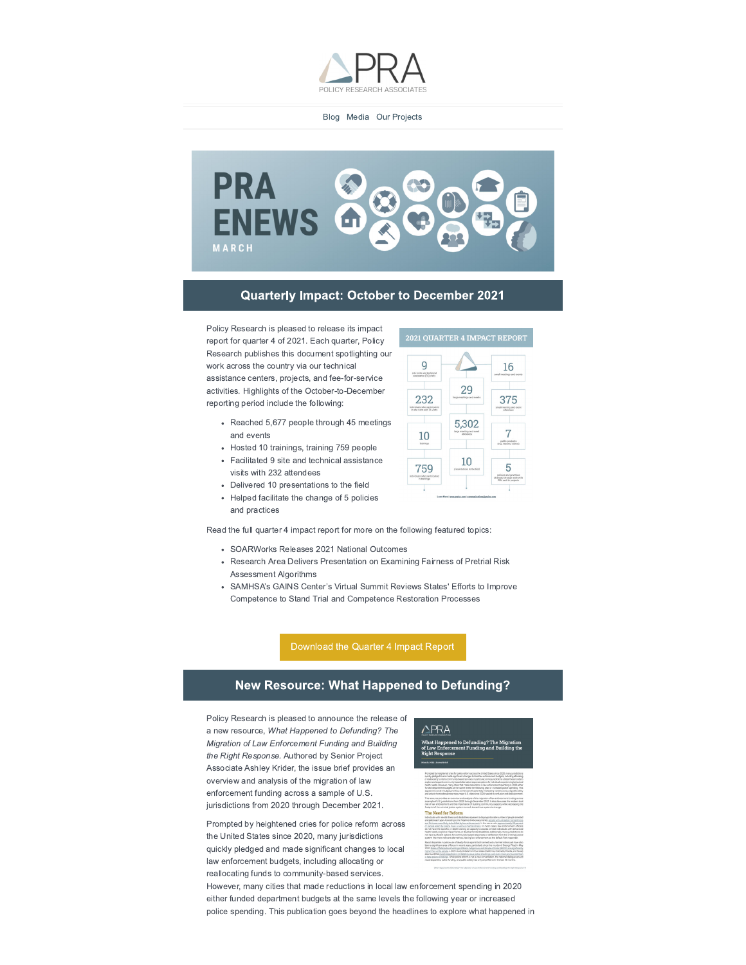

Blog Media Our Projects



### **Quarterly Impact: October to December 2021**

Policy Research is pleased to release its impact report for quarter 4 of 2021. Each quarter, Policy Research publishes this document spotlighting our work across the country via our technical assistance centers, projects, and fee-for-service activities. Highlights of the October-to-December reporting period include the following:

- Reached 5,677 people through 45 meetings and events
- Hosted 10 trainings, training 759 people
- Facilitated 9 site and technical assistance visits with 232 attendees
- Delivered 10 presentations to the field
- Helped facilitate the change of 5 policies and practices

Read the full quarter 4 impact report for more on the following featured topics:

- SOARWorks Releases 2021 National Outcomes
- Research Area Delivers Presentation on Examining Fairness of Pretrial Risk Assessment Algorithms
- SAMHSA's GAINS Center's Virtual Summit Reviews States' Efforts to Improve Competence to Stand Trial and Competence Restoration Processes

Download the Quarter 4 Impact Report

### New Resource: What Happened to Defunding?

Policy Research is pleased to announce the release of a new resource, What Happened to Defunding? The Migration of Law Enforcement Funding and Building the Right Response. Authored by Senior Project Associate Ashley Krider, the issue brief provides an overview and analysis of the migration of law enforcement funding across a sample of U.S. jurisdictions from 2020 through December 2021.



Prompted by heightened cries for police reform across the United States since 2020, many jurisdictions quickly pledged and made significant changes to local law enforcement budgets, including allocating or reallocating funds to community-based services.

However, many cities that made reductions in local law enforcement spending in 2020 either funded department budgets at the same levels the following year or increased police spending. This publication goes beyond the headlines to explore what happened in

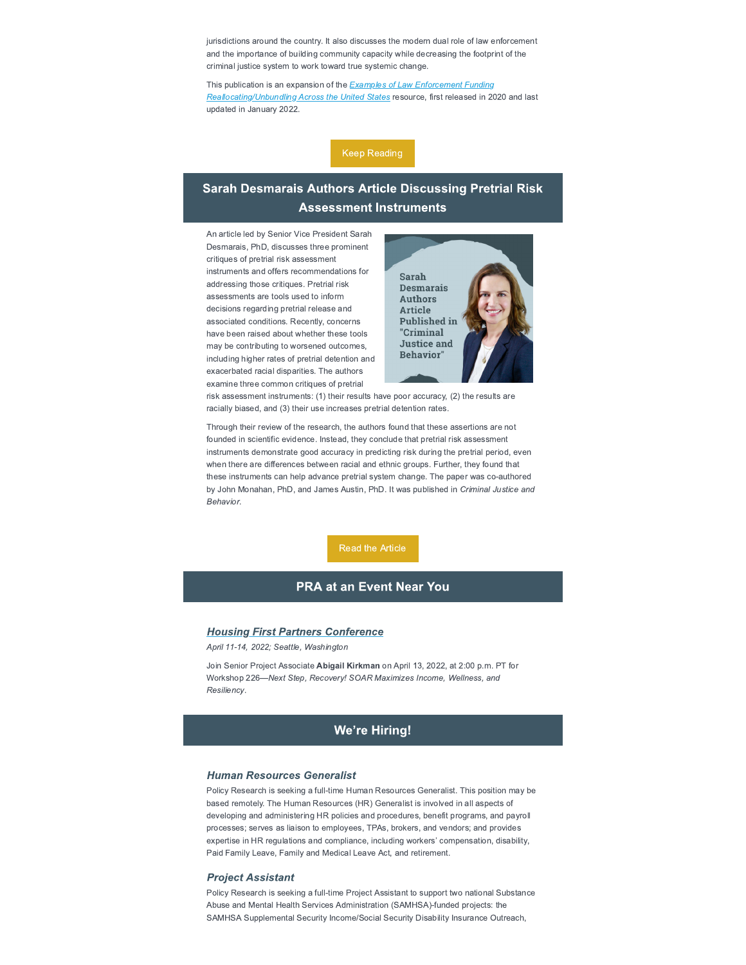jurisdictions around the country. It also discusses the modern dual role of law enforcement and the importance of building community capacity while decreasing the footprint of the criminal justice system to work toward true systemic change.

This publication is an expansion of the **Examples of Law Enforcement Funding** Reallocating/Unbundling Across the United States resource, first released in 2020 and last updated in January 2022.



# **Sarah Desmarais Authors Article Discussing Pretrial Risk Assessment Instruments**

An article led by Senior Vice President Sarah Desmarais, PhD, discusses three prominent critiques of pretrial risk assessment instruments and offers recommendations for addressing those critiques. Pretrial risk assessments are tools used to inform decisions regarding pretrial release and associated conditions. Recently, concerns have been raised about whether these tools may be contributing to worsened outcomes, including higher rates of pretrial detention and exacerbated racial disparities. The authors examine three common critiques of pretrial



risk assessment instruments: (1) their results have poor accuracy, (2) the results are racially biased, and (3) their use increases pretrial detention rates.

Through their review of the research, the authors found that these assertions are not founded in scientific evidence. Instead, they conclude that pretrial risk assessment instruments demonstrate good accuracy in predicting risk during the pretrial period, even when there are differences between racial and ethnic groups. Further, they found that these instruments can help advance pretrial system change. The paper was co-authored by John Monahan, PhD, and James Austin, PhD. It was published in Criminal Justice and Behavior

### **PRA at an Event Near You**

#### **Housing First Partners Conference**

April 11-14, 2022; Seattle, Washington

Join Senior Project Associate Abigail Kirkman on April 13, 2022, at 2:00 p.m. PT for Workshop 226-Next Step, Recovery! SOAR Maximizes Income, Wellness, and Resiliency.

### **We're Hiring!**

#### **Human Resources Generalist**

Policy Research is seeking a full-time Human Resources Generalist. This position may be based remotely. The Human Resources (HR) Generalist is involved in all aspects of developing and administering HR policies and procedures, benefit programs, and payroll processes; serves as liaison to employees, TPAs, brokers, and vendors; and provides expertise in HR regulations and compliance, including workers' compensation, disability, Paid Family Leave, Family and Medical Leave Act, and retirement.

#### **Project Assistant**

Policy Research is seeking a full-time Project Assistant to support two national Substance Abuse and Mental Health Services Administration (SAMHSA)-funded projects: the SAMHSA Supplemental Security Income/Social Security Disability Insurance Outreach,